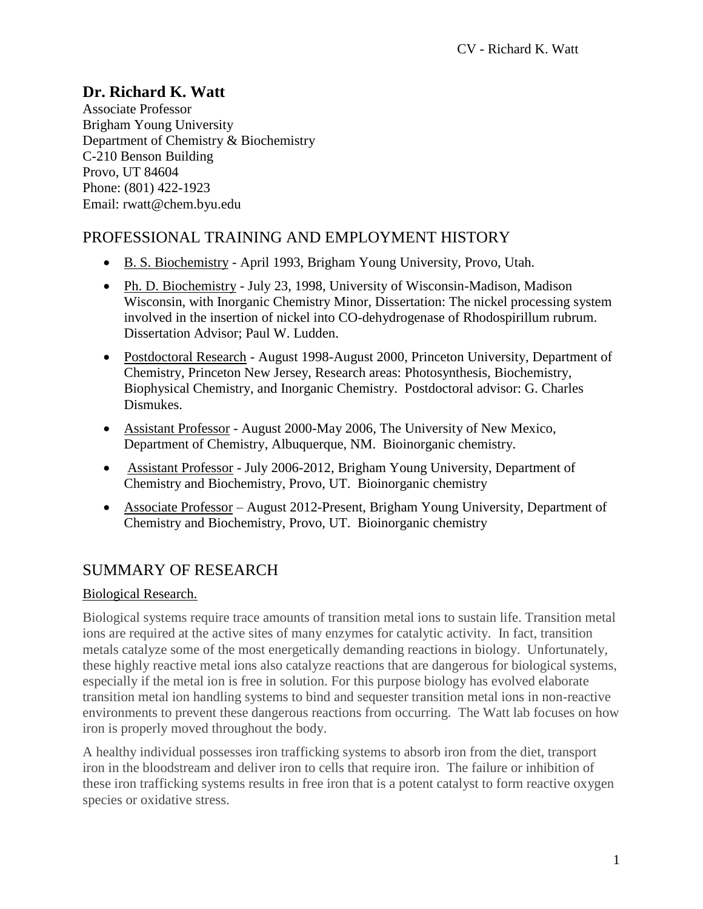# **Dr. Richard K. Watt**

Associate Professor Brigham Young University Department of Chemistry & Biochemistry C-210 Benson Building Provo, UT 84604 Phone: (801) 422-1923 Email: [rwatt@chem.byu.edu](mailto:rwatt@chem.byu.edu)

# PROFESSIONAL TRAINING AND EMPLOYMENT HISTORY

- B. S. Biochemistry April 1993, Brigham Young University, Provo, Utah.
- Ph. D. Biochemistry July 23, 1998, University of Wisconsin-Madison, Madison Wisconsin, with Inorganic Chemistry Minor, Dissertation: The nickel processing system involved in the insertion of nickel into CO-dehydrogenase of Rhodospirillum rubrum. Dissertation Advisor; Paul W. Ludden.
- Postdoctoral Research August 1998-August 2000, Princeton University, Department of Chemistry, Princeton New Jersey, Research areas: Photosynthesis, Biochemistry, Biophysical Chemistry, and Inorganic Chemistry. Postdoctoral advisor: G. Charles Dismukes.
- Assistant Professor August 2000-May 2006, The University of New Mexico, Department of Chemistry, Albuquerque, NM. Bioinorganic chemistry.
- Assistant Professor July 2006-2012, Brigham Young University, Department of Chemistry and Biochemistry, Provo, UT. Bioinorganic chemistry
- Associate Professor August 2012-Present, Brigham Young University, Department of Chemistry and Biochemistry, Provo, UT. Bioinorganic chemistry

# SUMMARY OF RESEARCH

## Biological Research.

Biological systems require trace amounts of transition metal ions to sustain life. Transition metal ions are required at the active sites of many enzymes for catalytic activity. In fact, transition metals catalyze some of the most energetically demanding reactions in biology. Unfortunately, these highly reactive metal ions also catalyze reactions that are dangerous for biological systems, especially if the metal ion is free in solution. For this purpose biology has evolved elaborate transition metal ion handling systems to bind and sequester transition metal ions in non-reactive environments to prevent these dangerous reactions from occurring. The Watt lab focuses on how iron is properly moved throughout the body.

A healthy individual possesses iron trafficking systems to absorb iron from the diet, transport iron in the bloodstream and deliver iron to cells that require iron. The failure or inhibition of these iron trafficking systems results in free iron that is a potent catalyst to form reactive oxygen species or oxidative stress.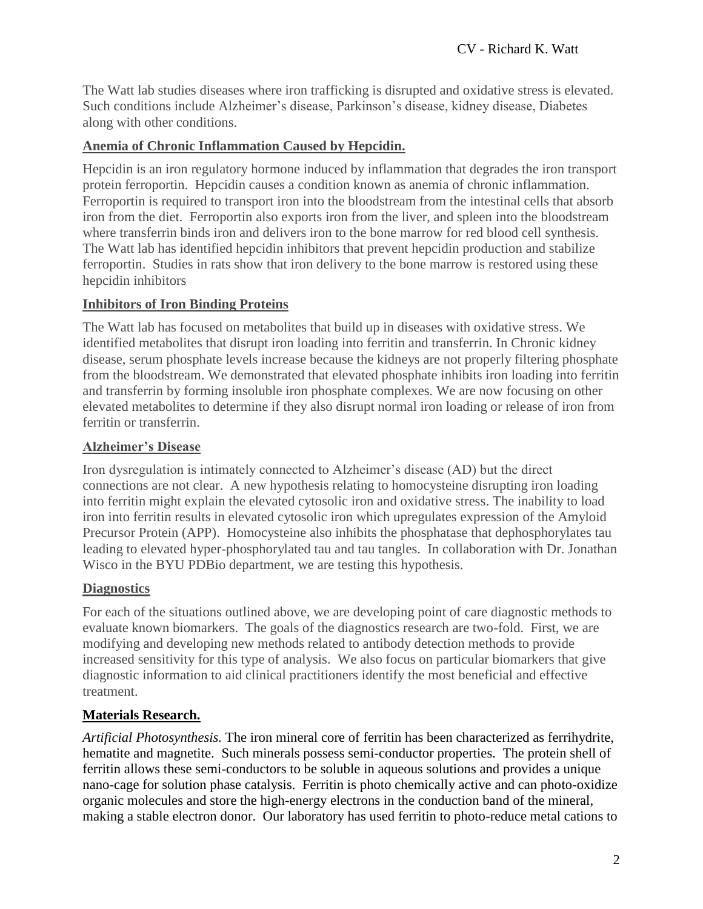The Watt lab studies diseases where iron trafficking is disrupted and oxidative stress is elevated. Such conditions include Alzheimer's disease, Parkinson's disease, kidney disease, Diabetes along with other conditions.

#### **Anemia of Chronic Inflammation Caused by Hepcidin.**

Hepcidin is an iron regulatory hormone induced by inflammation that degrades the iron transport protein ferroportin. Hepcidin causes a condition known as anemia of chronic inflammation. Ferroportin is required to transport iron into the bloodstream from the intestinal cells that absorb iron from the diet. Ferroportin also exports iron from the liver, and spleen into the bloodstream where transferrin binds iron and delivers iron to the bone marrow for red blood cell synthesis. The Watt lab has identified hepcidin inhibitors that prevent hepcidin production and stabilize ferroportin. Studies in rats show that iron delivery to the bone marrow is restored using these hepcidin inhibitors

#### **Inhibitors of Iron Binding Proteins**

The Watt lab has focused on metabolites that build up in diseases with oxidative stress. We identified metabolites that disrupt iron loading into ferritin and transferrin. In Chronic kidney disease, serum phosphate levels increase because the kidneys are not properly filtering phosphate from the bloodstream. We demonstrated that elevated phosphate inhibits iron loading into ferritin and transferrin by forming insoluble iron phosphate complexes. We are now focusing on other elevated metabolites to determine if they also disrupt normal iron loading or release of iron from ferritin or transferrin.

#### **Alzheimer's Disease**

Iron dysregulation is intimately connected to Alzheimer's disease (AD) but the direct connections are not clear. A new hypothesis relating to homocysteine disrupting iron loading into ferritin might explain the elevated cytosolic iron and oxidative stress. The inability to load iron into ferritin results in elevated cytosolic iron which upregulates expression of the Amyloid Precursor Protein (APP). Homocysteine also inhibits the phosphatase that dephosphorylates tau leading to elevated hyper-phosphorylated tau and tau tangles. In collaboration with Dr. Jonathan Wisco in the BYU PDBio department, we are testing this hypothesis.

#### **Diagnostics**

For each of the situations outlined above, we are developing point of care diagnostic methods to evaluate known biomarkers. The goals of the diagnostics research are two-fold. First, we are modifying and developing new methods related to antibody detection methods to provide increased sensitivity for this type of analysis. We also focus on particular biomarkers that give diagnostic information to aid clinical practitioners identify the most beneficial and effective treatment.

## **Materials Research.**

*Artificial Photosynthesis.* The iron mineral core of ferritin has been characterized as ferrihydrite, hematite and magnetite. Such minerals possess semi-conductor properties. The protein shell of ferritin allows these semi-conductors to be soluble in aqueous solutions and provides a unique nano-cage for solution phase catalysis. Ferritin is photo chemically active and can photo-oxidize organic molecules and store the high-energy electrons in the conduction band of the mineral, making a stable electron donor. Our laboratory has used ferritin to photo-reduce metal cations to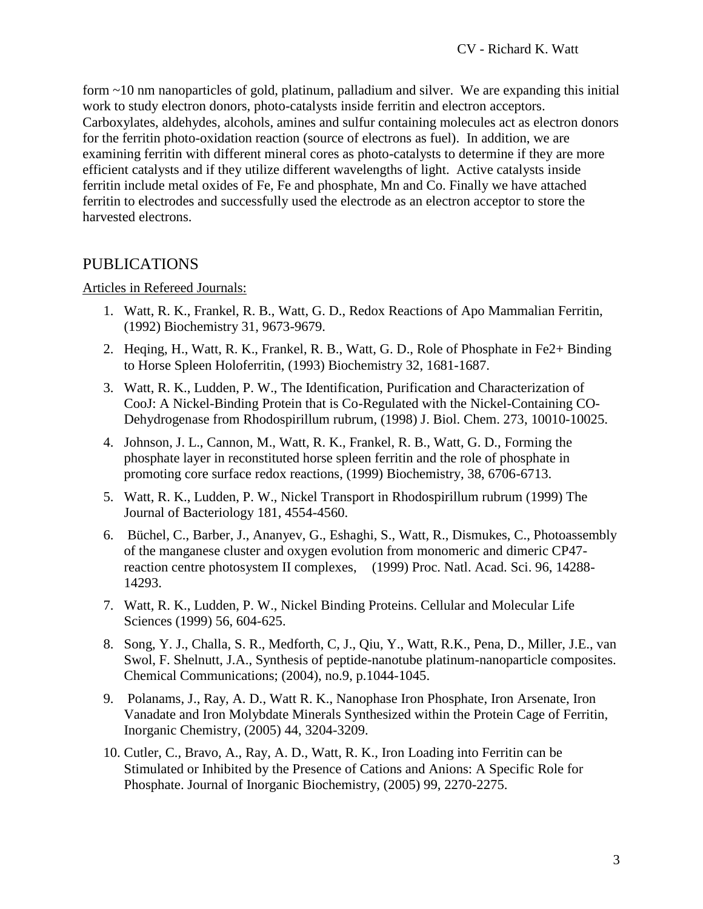form ~10 nm nanoparticles of gold, platinum, palladium and silver. We are expanding this initial work to study electron donors, photo-catalysts inside ferritin and electron acceptors. Carboxylates, aldehydes, alcohols, amines and sulfur containing molecules act as electron donors for the ferritin photo-oxidation reaction (source of electrons as fuel). In addition, we are examining ferritin with different mineral cores as photo-catalysts to determine if they are more efficient catalysts and if they utilize different wavelengths of light. Active catalysts inside ferritin include metal oxides of Fe, Fe and phosphate, Mn and Co. Finally we have attached ferritin to electrodes and successfully used the electrode as an electron acceptor to store the harvested electrons.

# PUBLICATIONS

#### Articles in Refereed Journals:

- 1. Watt, R. K., Frankel, R. B., Watt, G. D., Redox Reactions of Apo Mammalian Ferritin, (1992) Biochemistry 31, 9673-9679.
- 2. Heqing, H., Watt, R. K., Frankel, R. B., Watt, G. D., Role of Phosphate in Fe2+ Binding to Horse Spleen Holoferritin, (1993) Biochemistry 32, 1681-1687.
- 3. Watt, R. K., Ludden, P. W., The Identification, Purification and Characterization of CooJ: A Nickel-Binding Protein that is Co-Regulated with the Nickel-Containing CO-Dehydrogenase from Rhodospirillum rubrum, (1998) J. Biol. Chem. 273, 10010-10025.
- 4. Johnson, J. L., Cannon, M., Watt, R. K., Frankel, R. B., Watt, G. D., Forming the phosphate layer in reconstituted horse spleen ferritin and the role of phosphate in promoting core surface redox reactions, (1999) Biochemistry, 38, 6706-6713.
- 5. Watt, R. K., Ludden, P. W., Nickel Transport in Rhodospirillum rubrum (1999) The Journal of Bacteriology 181, 4554-4560.
- 6. Büchel, C., Barber, J., Ananyev, G., Eshaghi, S., Watt, R., Dismukes, C., Photoassembly of the manganese cluster and oxygen evolution from monomeric and dimeric CP47 reaction centre photosystem II complexes, (1999) Proc. Natl. Acad. Sci. 96, 14288- 14293.
- 7. Watt, R. K., Ludden, P. W., Nickel Binding Proteins. Cellular and Molecular Life Sciences (1999) 56, 604-625.
- 8. Song, Y. J., Challa, S. R., Medforth, C, J., Qiu, Y., Watt, R.K., Pena, D., Miller, J.E., van Swol, F. Shelnutt, J.A., Synthesis of peptide-nanotube platinum-nanoparticle composites. Chemical Communications; (2004), no.9, p.1044-1045.
- 9. Polanams, J., Ray, A. D., Watt R. K., Nanophase Iron Phosphate, Iron Arsenate, Iron Vanadate and Iron Molybdate Minerals Synthesized within the Protein Cage of Ferritin, Inorganic Chemistry, (2005) 44, 3204-3209.
- 10. Cutler, C., Bravo, A., Ray, A. D., Watt, R. K., Iron Loading into Ferritin can be Stimulated or Inhibited by the Presence of Cations and Anions: A Specific Role for Phosphate. Journal of Inorganic Biochemistry, (2005) 99, 2270-2275.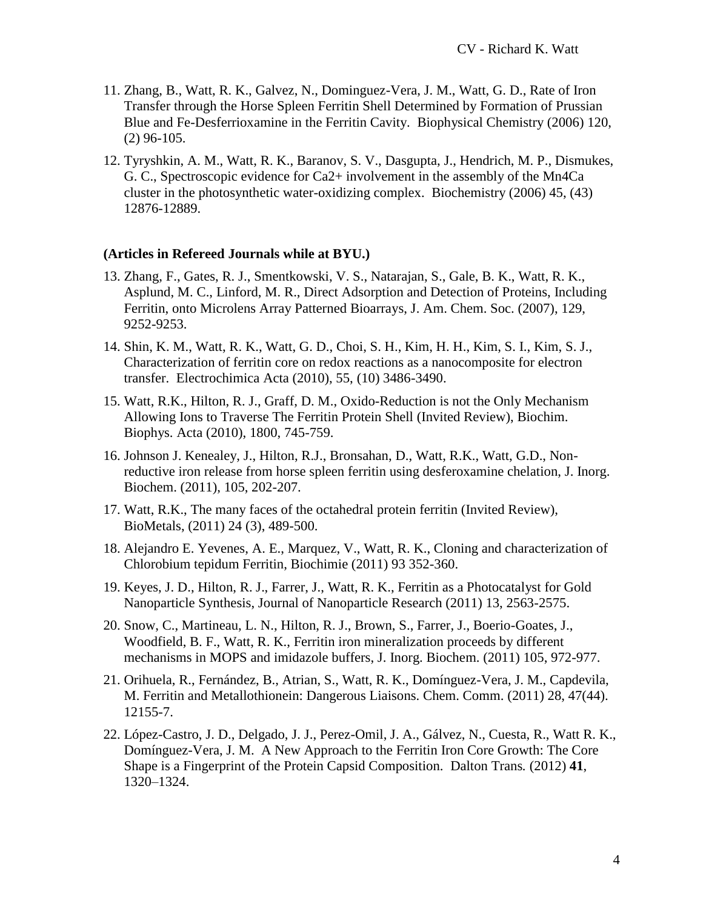- 11. Zhang, B., Watt, R. K., Galvez, N., Dominguez-Vera, J. M., Watt, G. D., Rate of Iron Transfer through the Horse Spleen Ferritin Shell Determined by Formation of Prussian Blue and Fe-Desferrioxamine in the Ferritin Cavity. Biophysical Chemistry (2006) 120, (2) 96-105.
- 12. Tyryshkin, A. M., Watt, R. K., Baranov, S. V., Dasgupta, J., Hendrich, M. P., Dismukes, G. C., Spectroscopic evidence for Ca2+ involvement in the assembly of the Mn4Ca cluster in the photosynthetic water-oxidizing complex. Biochemistry (2006) 45, (43) 12876-12889.

#### **(Articles in Refereed Journals while at BYU.)**

- 13. Zhang, F., Gates, R. J., Smentkowski, V. S., Natarajan, S., Gale, B. K., Watt, R. K., Asplund, M. C., Linford, M. R., Direct Adsorption and Detection of Proteins, Including Ferritin, onto Microlens Array Patterned Bioarrays, J. Am. Chem. Soc. (2007), 129, 9252-9253.
- 14. Shin, K. M., Watt, R. K., Watt, G. D., Choi, S. H., Kim, H. H., Kim, S. I., Kim, S. J., Characterization of ferritin core on redox reactions as a nanocomposite for electron transfer. Electrochimica Acta (2010), 55, (10) 3486-3490.
- 15. Watt, R.K., Hilton, R. J., Graff, D. M., Oxido-Reduction is not the Only Mechanism Allowing Ions to Traverse The Ferritin Protein Shell (Invited Review), Biochim. Biophys. Acta (2010), 1800, 745-759.
- 16. Johnson J. Kenealey, J., Hilton, R.J., Bronsahan, D., Watt, R.K., Watt, G.D., Nonreductive iron release from horse spleen ferritin using desferoxamine chelation, J. Inorg. Biochem. (2011), 105, 202-207.
- 17. Watt, R.K., The many faces of the octahedral protein ferritin (Invited Review), BioMetals, (2011) 24 (3), 489-500.
- 18. Alejandro E. Yevenes, A. E., Marquez, V., Watt, R. K., Cloning and characterization of Chlorobium tepidum Ferritin, Biochimie (2011) 93 352-360.
- 19. Keyes, J. D., Hilton, R. J., Farrer, J., Watt, R. K., Ferritin as a Photocatalyst for Gold Nanoparticle Synthesis, Journal of Nanoparticle Research (2011) 13, 2563-2575.
- 20. Snow, C., Martineau, L. N., Hilton, R. J., Brown, S., Farrer, J., Boerio-Goates, J., Woodfield, B. F., Watt, R. K., Ferritin iron mineralization proceeds by different mechanisms in MOPS and imidazole buffers, J. Inorg. Biochem. (2011) 105, 972-977.
- 21. Orihuela, R., Fernández, B., Atrian, S., Watt, R. K., Domínguez-Vera, J. M., Capdevila, M. Ferritin and Metallothionein: Dangerous Liaisons. Chem. Comm. (2011) 28, 47(44). 12155-7.
- 22. López-Castro, J. D., Delgado, J. J., Perez-Omil, J. A., Gálvez, N., Cuesta, R., Watt R. K., Domínguez-Vera, J. M. A New Approach to the Ferritin Iron Core Growth: The Core Shape is a Fingerprint of the Protein Capsid Composition. Dalton Trans*.* (2012) **41**, 1320–1324.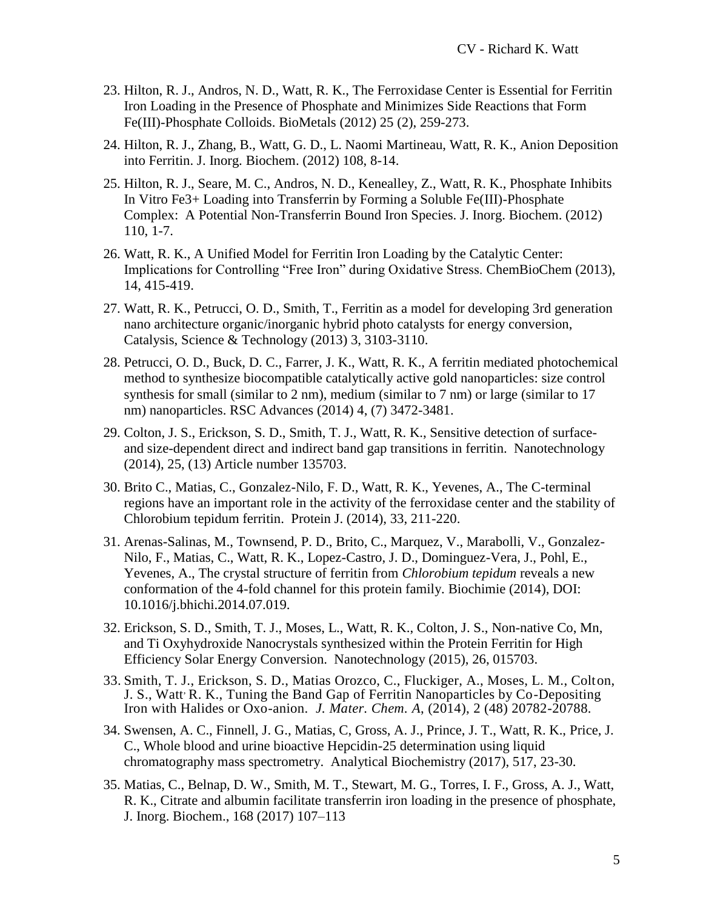- 23. Hilton, R. J., Andros, N. D., Watt, R. K., The Ferroxidase Center is Essential for Ferritin Iron Loading in the Presence of Phosphate and Minimizes Side Reactions that Form Fe(III)-Phosphate Colloids. BioMetals (2012) 25 (2), 259-273.
- 24. Hilton, R. J., Zhang, B., Watt, G. D., L. Naomi Martineau, Watt, R. K., Anion Deposition into Ferritin. J. Inorg. Biochem. (2012) 108, 8-14.
- 25. Hilton, R. J., Seare, M. C., Andros, N. D., Kenealley, Z., Watt, R. K., Phosphate Inhibits In Vitro Fe3+ Loading into Transferrin by Forming a Soluble Fe(III)-Phosphate Complex: A Potential Non-Transferrin Bound Iron Species. J. Inorg. Biochem. (2012) 110, 1-7.
- 26. Watt, R. K., A Unified Model for Ferritin Iron Loading by the Catalytic Center: Implications for Controlling "Free Iron" during Oxidative Stress. ChemBioChem (2013), 14, 415-419.
- 27. Watt, R. K., Petrucci, O. D., Smith, T., Ferritin as a model for developing 3rd generation nano architecture organic/inorganic hybrid photo catalysts for energy conversion, Catalysis, Science & Technology (2013) 3, 3103-3110.
- 28. Petrucci, O. D., Buck, D. C., Farrer, J. K., Watt, R. K., A ferritin mediated photochemical method to synthesize biocompatible catalytically active gold nanoparticles: size control synthesis for small (similar to 2 nm), medium (similar to 7 nm) or large (similar to 17 nm) nanoparticles. RSC Advances (2014) 4, (7) 3472-3481.
- 29. Colton, J. S., Erickson, S. D., Smith, T. J., Watt, R. K., Sensitive detection of surfaceand size-dependent direct and indirect band gap transitions in ferritin. Nanotechnology (2014), 25, (13) Article number 135703.
- 30. Brito C., Matias, C., Gonzalez-Nilo, F. D., Watt, R. K., Yevenes, A., The C-terminal regions have an important role in the activity of the ferroxidase center and the stability of Chlorobium tepidum ferritin. Protein J. (2014), 33, 211-220.
- 31. Arenas-Salinas, M., Townsend, P. D., Brito, C., Marquez, V., Marabolli, V., Gonzalez-Nilo, F., Matias, C., Watt, R. K., Lopez-Castro, J. D., Dominguez-Vera, J., Pohl, E., Yevenes, A., [The crystal structure of ferritin from](https://www.ncbi.nlm.nih.gov/pubmed/25079050) *Chlorobium tepidum* reveals a new [conformation of the 4-fold channel for this protein family.](https://www.ncbi.nlm.nih.gov/pubmed/25079050) Biochimie (2014), DOI: 10.1016/j.bhichi.2014.07.019.
- 32. Erickson, S. D., Smith, T. J., Moses, L., Watt, R. K., Colton, J. S., Non-native Co, Mn, and Ti Oxyhydroxide Nanocrystals synthesized within the Protein Ferritin for High Efficiency Solar Energy Conversion. Nanotechnology (2015), 26, 015703.
- 33. Smith, T. J., Erickson, S. D., Matias Orozco, C., Fluckiger, A., Moses, L. M., Colton, J. S., Watt<sup>,</sup> R. K., Tuning the Band Gap of Ferritin Nanoparticles by Co-Depositing Iron with Halides or Oxo-anion. *J. Mater. Chem. A*, (2014), 2 (48) 20782-20788.
- 34. Swensen, A. C., Finnell, J. G., Matias, C, Gross, A. J., Prince, J. T., Watt, R. K., Price, J. C., Whole blood and urine bioactive Hepcidin-25 determination using liquid chromatography mass spectrometry. Analytical Biochemistry (2017), 517, 23-30.
- 35. Matias, C., Belnap, D. W., Smith, M. T., Stewart, M. G., Torres, I. F., Gross, A. J., Watt, R. K., Citrate and albumin facilitate transferrin iron loading in the presence of phosphate, J. Inorg. Biochem., 168 (2017) 107–113